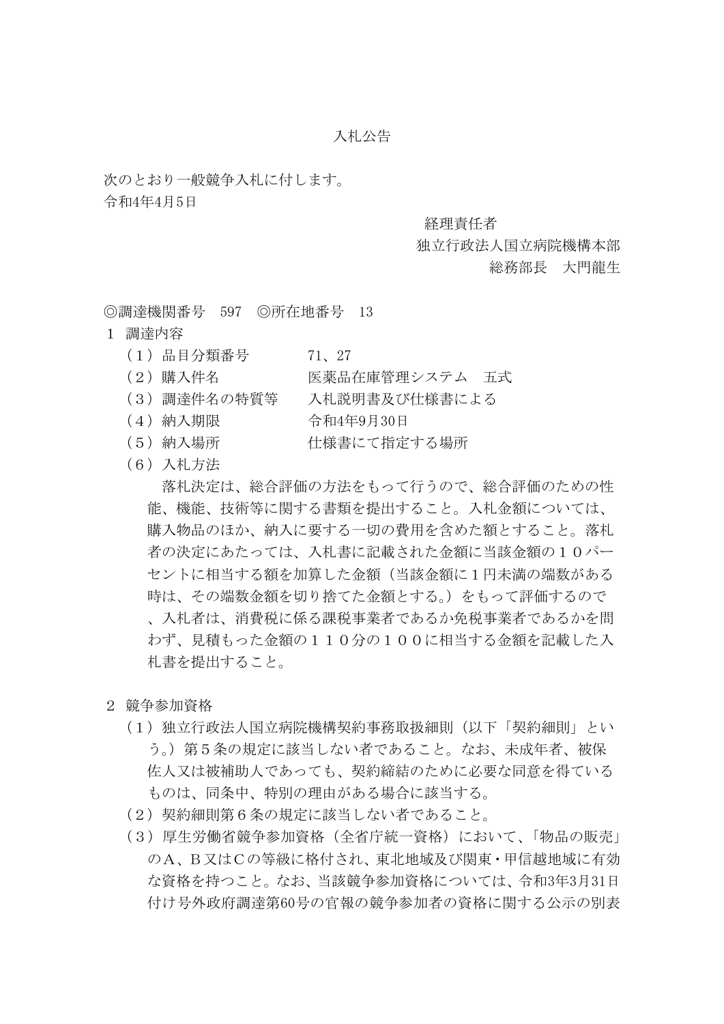# 入札公告

次のとおり一般競争入札に付します。

令和4年4月5日

### 経理責任者

# 独立行政法人国立病院機構本部

# 総務部長 大門龍生

◎調達機関番号 597 ◎所在地番号 13

- 1 調達内容
	- (1)品目分類番号 71、27
	- (2)購入件名 医薬品在庫管理システム 五式
	- (3)調達件名の特質等 入札説明書及び仕様書による
	- (4)納入期限 令和4年9月30日
	- (5)納入場所 仕様書にて指定する場所
	- (6)入札方法

 落札決定は、総合評価の方法をもって行うので、総合評価のための性 能、機能、技術等に関する書類を提出すること。入札金額については、 購入物品のほか、納入に要する一切の費用を含めた額とすること。落札 者の決定にあたっては、入札書に記載された金額に当該金額の10パー セントに相当する額を加算した金額(当該金額に1円未満の端数がある 時は、その端数金額を切り捨てた金額とする。)をもって評価するので 、入札者は、消費税に係る課税事業者であるか免税事業者であるかを問 わず、見積もった金額の110分の100に相当する金額を記載した入 札書を提出すること。

- 2 競争参加資格
	- (1)独立行政法人国立病院機構契約事務取扱細則(以下「契約細則」とい う。)第5条の規定に該当しない者であること。なお、未成年者、被保 佐人又は被補助人であっても、契約締結のために必要な同意を得ている ものは、同条中、特別の理由がある場合に該当する。
	- (2)契約細則第6条の規定に該当しない者であること。
	- (3)厚生労働省競争参加資格(全省庁統一資格)において、「物品の販売」 のA、B又はCの等級に格付され、東北地域及び関東・甲信越地域に有効 な資格を持つこと。なお、当該競争参加資格については、令和3年3月31日 付け号外政府調達第60号の官報の競争参加者の資格に関する公示の別表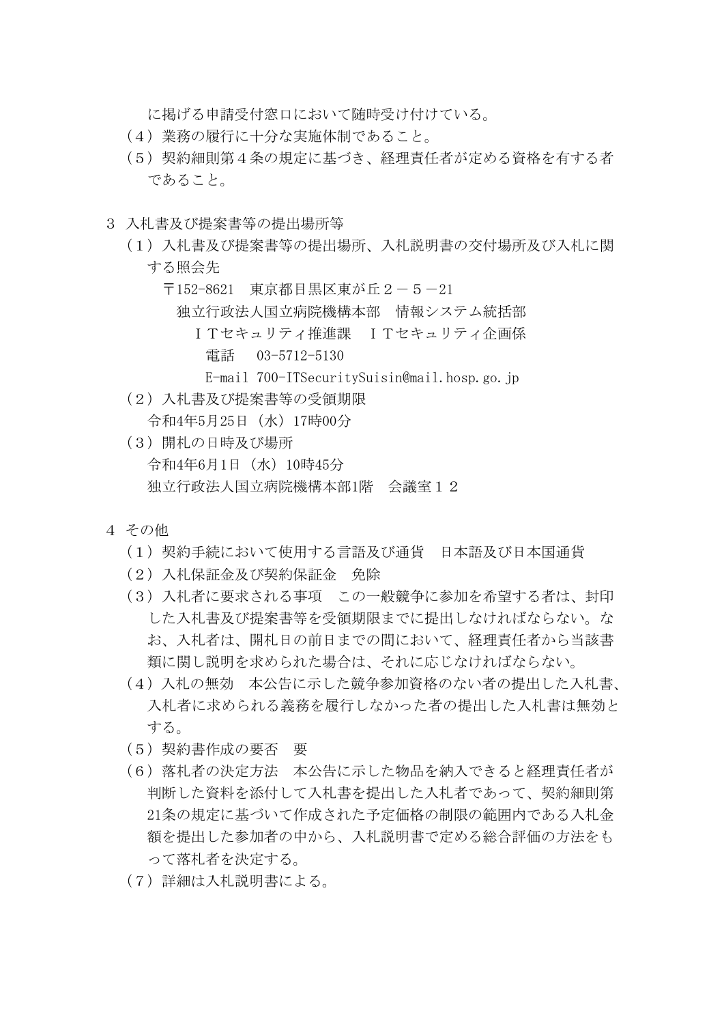に掲げる申請受付窓口において随時受け付けている。

- (4)業務の履行に十分な実施体制であること。
- (5)契約細則第4条の規定に基づき、経理責任者が定める資格を有する者 であること。
- 3 入札書及び提案書等の提出場所等
	- (1)入札書及び提案書等の提出場所、入札説明書の交付場所及び入札に関 する照会先
		- 〒152-8621 東京都目黒区東が丘2-5-21 独立行政法人国立病院機構本部 情報システム統括部 ITセキュリティ推進課 ITセキュリティ企画係 電話 03-5712-5130
			- E-mail 700-ITSecuritySuisin@mail.hosp.go.jp
	- (2)入札書及び提案書等の受領期限
		- 令和4年5月25日(水)17時00分
	- (3)開札の日時及び場所 令和4年6月1日(水)10時45分 独立行政法人国立病院機構本部1階 会議室12
- 4 その他
	- (1)契約手続において使用する言語及び通貨 日本語及び日本国通貨
	- (2)入札保証金及び契約保証金 免除
	- (3)入札者に要求される事項 この一般競争に参加を希望する者は、封印 した入札書及び提案書等を受領期限までに提出しなければならない。な お、入札者は、開札日の前日までの間において、経理責任者から当該書 類に関し説明を求められた場合は、それに応じなければならない。
	- (4)入札の無効 本公告に示した競争参加資格のない者の提出した入札書、 入札者に求められる義務を履行しなかった者の提出した入札書は無効と する。
	- (5)契約書作成の要否 要
	- (6)落札者の決定方法 本公告に示した物品を納入できると経理責任者が 判断した資料を添付して入札書を提出した入札者であって、契約細則第 21条の規定に基づいて作成された予定価格の制限の範囲内である入札金 額を提出した参加者の中から、入札説明書で定める総合評価の方法をも って落札者を決定する。
	- (7)詳細は入札説明書による。